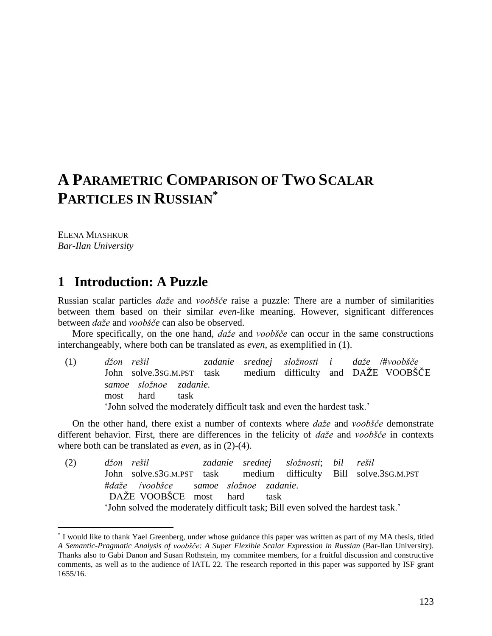# **A PARAMETRIC COMPARISON OF TWO SCALAR PARTICLES IN RUSSIAN\***

ELENA MIASHKUR *Bar-Ilan University*

 $\overline{a}$ 

### **1** Introduction: A Puzzle

Russian scalar particles *daže* and *voobšče* raise a puzzle: There are a number of similarities between them based on their similar *even*-like meaning. However, significant differences between *daže* and *voobšče* can also be observed.

More specifically, on the one hand, *daže* and *voobšče* can occur in the same constructions interchangeably, where both can be translated as *even*, as exemplified in (1).

(1) *džon rešil zadanie srednej složnosti i daže* /#*voobšče* John solve.3SG.M.PST task medium difficulty and DAŽE VOOBŠČE *samoe složnoe zadanie.* most hard task 'John solved the moderately difficult task and even the hardest task.'

On the other hand, there exist a number of contexts where *daže* and *voobšče* demonstrate different behavior. First, there are differences in the felicity of *daže* and *voobšče* in contexts where both can be translated as *even*, as in (2)-(4).

(2) *džon rešil zadanie srednej složnosti*; *bil rešil* John solve.S3G.M.PST task medium difficulty Bill solve.3SG.M.PST #*daže* /*voobšce samoe složnoe zadanie*. DAŽE VOOBŠCE most hard task 'John solved the moderately difficult task; Bill even solved the hardest task.'

<sup>\*</sup> I would like to thank Yael Greenberg, under whose guidance this paper was written as part of my MA thesis, titled *A Semantic-Pragmatic Analysis of voobšče: A Super Flexible Scalar Expression in Russian* (Bar-Ilan University). Thanks also to Gabi Danon and Susan Rothstein, my commitee members, for a fruitful discussion and constructive comments, as well as to the audience of IATL 22. The research reported in this paper was supported by ISF grant 1655/16.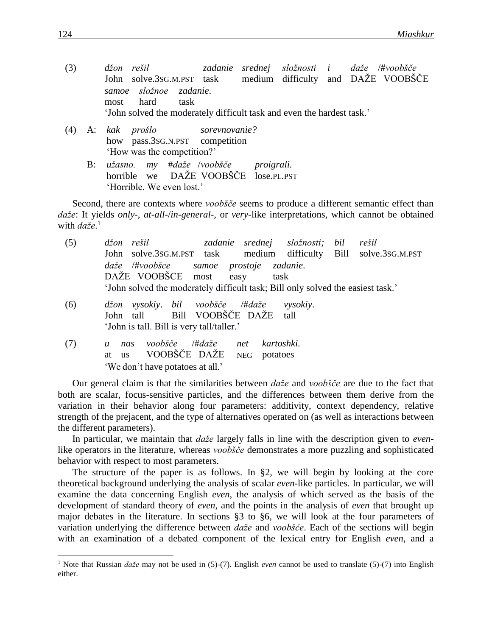- (3) *džon rešil zadanie srednej složnosti i daže* /#*voobšče* John solve.3SG.M.PST task medium difficulty and DAŽE VOOBŠČE *samoe složnoe zadanie*. most hard task 'John solved the moderately difficult task and even the hardest task.'
- (4) A: *kak prošlo sorevnovanie?* how pass.3SG.N.PST competition 'How was the competition?'
	- B: *užasno. my* #*daže* /*voobšče proigrali.* horrible we DAŽE VOOBŠČE lose.PL.PST 'Horrible. We even lost.'

Second, there are contexts where *voobšče* seems to produce a different semantic effect than *daže*: It yields *only*-, *at*-*all*-/*in*-*general*-, or *very*-like interpretations, which cannot be obtained with *daže*. 1

| (5) | džon rešil                                                                      |                         |                        | zadanie srednej složnosti; | bil | rešil |
|-----|---------------------------------------------------------------------------------|-------------------------|------------------------|----------------------------|-----|-------|
|     | John solve.3sG.M.PST task medium difficulty Bill solve.3sG.M.PST                |                         |                        |                            |     |       |
|     | $da\check{z}e$ /#voobšce                                                        | samoe prostoje zadanie. |                        |                            |     |       |
|     | DAŽE VOOBŠCE most                                                               |                         | easy<br>task           |                            |     |       |
|     | 'John solved the moderately difficult task; Bill only solved the easiest task.' |                         |                        |                            |     |       |
| (6) | džon vysokiy. bil voobšče /#daže                                                |                         |                        | <i>vysokiy.</i>            |     |       |
|     | John tall Bill VOOBŠČE DAŽE                                                     |                         |                        | tall                       |     |       |
|     | 'John is tall. Bill is very tall/taller.'                                       |                         |                        |                            |     |       |
| (7) | voobšče<br>nas<br>$\boldsymbol{u}$                                              | /#daže                  | kartoshki.<br>net      |                            |     |       |
|     | VOOBŠČE DAŽE<br><b>us</b><br>at                                                 |                         | potatoes<br><b>NEG</b> |                            |     |       |
|     | 'We don't have potatoes at all.'                                                |                         |                        |                            |     |       |

Our general claim is that the similarities between *daže* and *voobšče* are due to the fact that both are scalar, focus-sensitive particles, and the differences between them derive from the variation in their behavior along four parameters: additivity, context dependency, relative strength of the prejacent, and the type of alternatives operated on (as well as interactions between the different parameters).

In particular, we maintain that *daže* largely falls in line with the description given to *even*like operators in the literature, whereas *voobšče* demonstrates a more puzzling and sophisticated behavior with respect to most parameters.

The structure of the paper is as follows. In §2, we will begin by looking at the core theoretical background underlying the analysis of scalar *even*-like particles. In particular, we will examine the data concerning English *even*, the analysis of which served as the basis of the development of standard theory of *even*, and the points in the analysis of *even* that brought up major debates in the literature. In sections §3 to §6, we will look at the four parameters of variation underlying the difference between *daže* and *voobšče*. Each of the sections will begin with an examination of a debated component of the lexical entry for English *even*, and a

<sup>1</sup> Note that Russian *daže* may not be used in (5)-(7). English *even* cannot be used to translate (5)-(7) into English either.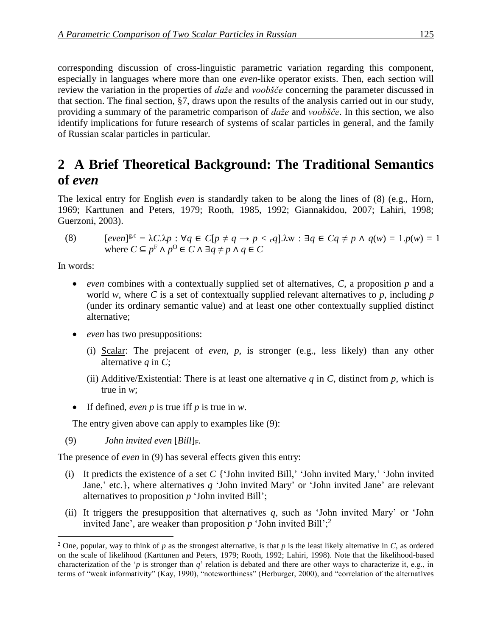corresponding discussion of cross-linguistic parametric variation regarding this component, especially in languages where more than one *even*-like operator exists. Then, each section will review the variation in the properties of *daže* and *voobšče* concerning the parameter discussed in that section. The final section, §7, draws upon the results of the analysis carried out in our study, providing a summary of the parametric comparison of *daže* and *voobšče*. In this section, we also identify implications for future research of systems of scalar particles in general, and the family of Russian scalar particles in particular.

## 2 A Brief Theoretical Background: The Traditional Semantics **of** *even*

The lexical entry for English *even* is standardly taken to be along the lines of (8) (e.g., Horn, 1969; Karttunen and Peters, 1979; Rooth, 1985, 1992; Giannakidou, 2007; Lahiri, 1998; Guerzoni, 2003).

(8)  $[even]^{g,c} = \lambda C.\lambda p : \forall q \in C[p \neq q \rightarrow p < cq] . \lambda w : \exists q \in Cq \neq p \land q(w) = 1.p(w) = 1$ where  $C \subseteq p^F \land p^O \in C \land \exists q \neq p \land q \in C$ 

In words:

 $\overline{a}$ 

- *even* combines with a contextually supplied set of alternatives, *C*, a proposition *p* and a world *w*, where *C* is a set of contextually supplied relevant alternatives to *p*, including *p* (under its ordinary semantic value) and at least one other contextually supplied distinct alternative;
- *even* has two presuppositions:
	- (i) Scalar: The prejacent of *even*, *p*, is stronger (e.g., less likely) than any other alternative *q* in *C*;
	- (ii) Additive/Existential: There is at least one alternative  $q$  in  $C$ , distinct from  $p$ , which is true in *w*;
- If defined, *even p* is true iff *p* is true in *w*.

The entry given above can apply to examples like (9):

(9) *John invited even* [*Bill*]F*.*

The presence of *even* in (9) has several effects given this entry:

- (i) It predicts the existence of a set *C* {'John invited Bill,' 'John invited Mary,' 'John invited Jane,' etc.}, where alternatives *q* 'John invited Mary' or 'John invited Jane' are relevant alternatives to proposition *p* 'John invited Bill';
- (ii) It triggers the presupposition that alternatives *q*, such as 'John invited Mary' or 'John invited Jane', are weaker than proposition *p* 'John invited Bill';<sup>2</sup>

<sup>2</sup> One, popular, way to think of *p* as the strongest alternative, is that *p* is the least likely alternative in *C*, as ordered on the scale of likelihood (Karttunen and Peters, 1979; Rooth, 1992; Lahiri, 1998). Note that the likelihood-based characterization of the '*p* is stronger than *q*' relation is debated and there are other ways to characterize it, e.g., in terms of "weak informativity" (Kay, 1990), "noteworthiness" (Herburger, 2000), and "correlation of the alternatives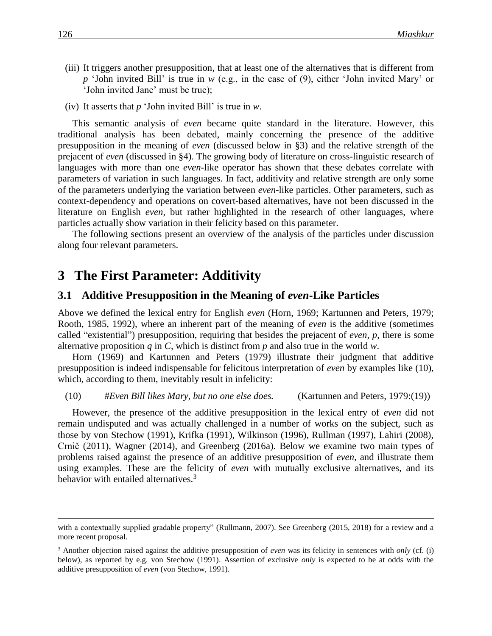- (iii) It triggers another presupposition, that at least one of the alternatives that is different from *p* 'John invited Bill' is true in *w* (e.g., in the case of (9), either 'John invited Mary' or 'John invited Jane' must be true);
- (iv) It asserts that *p* 'John invited Bill' is true in *w*.

This semantic analysis of *even* became quite standard in the literature. However, this traditional analysis has been debated, mainly concerning the presence of the additive presupposition in the meaning of *even* (discussed below in §3) and the relative strength of the prejacent of *even* (discussed in §4). The growing body of literature on cross-linguistic research of languages with more than one *even*-like operator has shown that these debates correlate with parameters of variation in such languages. In fact, additivity and relative strength are only some of the parameters underlying the variation between *even*-like particles. Other parameters, such as context-dependency and operations on covert-based alternatives, have not been discussed in the literature on English *even*, but rather highlighted in the research of other languages, where particles actually show variation in their felicity based on this parameter.

The following sections present an overview of the analysis of the particles under discussion along four relevant parameters.

### **3** The First Parameter: Additivity

#### **3.1**xx**Additive Presupposition in the Meaning of** *even***-Like Particles**

Above we defined the lexical entry for English *even* (Horn, 1969; Kartunnen and Peters, 1979; Rooth, 1985, 1992), where an inherent part of the meaning of *even* is the additive (sometimes called "existential") presupposition, requiring that besides the prejacent of *even*, *p*, there is some alternative proposition *q* in *C*, which is distinct from *p* and also true in the world *w*.

Horn (1969) and Kartunnen and Peters (1979) illustrate their judgment that additive presupposition is indeed indispensable for felicitous interpretation of *even* by examples like (10), which, according to them, inevitably result in infelicity:

#### (10) #*Even Bill likes Mary, but no one else does.* (Kartunnen and Peters, 1979:(19))

However, the presence of the additive presupposition in the lexical entry of *even* did not remain undisputed and was actually challenged in a number of works on the subject, such as those by von Stechow (1991), Krifka (1991), Wilkinson (1996), Rullman (1997), Lahiri (2008), Crnič (2011), Wagner (2014), and Greenberg (2016a). Below we examine two main types of problems raised against the presence of an additive presupposition of *even*, and illustrate them using examples. These are the felicity of *even* with mutually exclusive alternatives, and its behavior with entailed alternatives.<sup>3</sup>

with a contextually supplied gradable property" (Rullmann, 2007). See Greenberg (2015, 2018) for a review and a more recent proposal.

<sup>3</sup> Another objection raised against the additive presupposition of *even* was its felicity in sentences with *only* (cf. (i) below), as reported by e.g. von Stechow (1991). Assertion of exclusive *only* is expected to be at odds with the additive presupposition of *even* (von Stechow, 1991).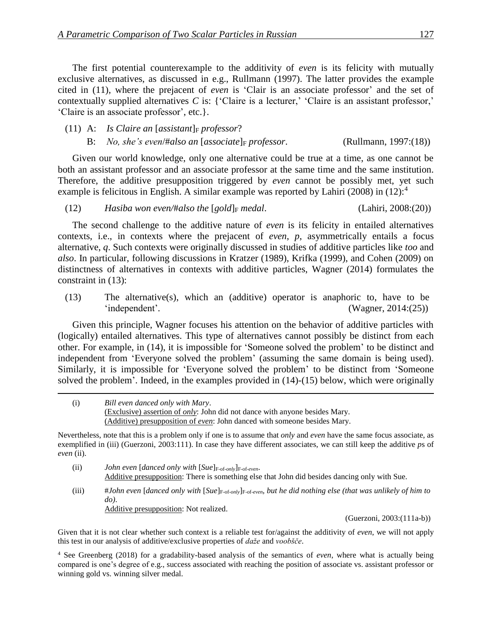The first potential counterexample to the additivity of *even* is its felicity with mutually exclusive alternatives, as discussed in e.g., Rullmann (1997). The latter provides the example cited in (11), where the prejacent of *even* is 'Clair is an associate professor' and the set of contextually supplied alternatives *C* is: {'Claire is a lecturer,' 'Claire is an assistant professor,' 'Claire is an associate professor', etc.}.

### (11) A: *Is Claire an*  $[assignment]$  $professor$ *?* B: *No, she's even*/#*also an* [*associate*]<sup>F</sup> *professor*. (Rullmann, 1997:(18))

Given our world knowledge, only one alternative could be true at a time, as one cannot be both an assistant professor and an associate professor at the same time and the same institution. Therefore, the additive presupposition triggered by *even* cannot be possibly met, yet such example is felicitous in English. A similar example was reported by Lahiri (2008) in (12):<sup>4</sup>

#### (12) *Hasiba won even*/#*also the* [*gold*]<sub>F</sub> *medal*. (Lahiri, 2008:(20))

The second challenge to the additive nature of *even* is its felicity in entailed alternatives contexts, i.e., in contexts where the prejacent of *even*, *p*, asymmetrically entails a focus alternative, *q*. Such contexts were originally discussed in studies of additive particles like *too* and *also*. In particular, following discussions in Kratzer (1989), Krifka (1999), and Cohen (2009) on distinctness of alternatives in contexts with additive particles, Wagner (2014) formulates the constraint in (13):

(13) The alternative(s), which an (additive) operator is anaphoric to, have to be 'independent'. (Wagner, 2014:(25))

Given this principle, Wagner focuses his attention on the behavior of additive particles with (logically) entailed alternatives. This type of alternatives cannot possibly be distinct from each other. For example, in (14), it is impossible for 'Someone solved the problem' to be distinct and independent from 'Everyone solved the problem' (assuming the same domain is being used). Similarly, it is impossible for 'Everyone solved the problem' to be distinct from 'Someone solved the problem'. Indeed, in the examples provided in (14)-(15) below, which were originally

 $\overline{a}$ 

Nevertheless, note that this is a problem only if one is to assume that *only* and *even* have the same focus associate, as exemplified in (iii) (Guerzoni, 2003:111). In case they have different associates, we can still keep the additive *p*s of *even* (ii).

- (ii) *John even* [*danced only with* [*Sue*]F-of-*only*]F-of-*even*. Additive presupposition: There is something else that John did besides dancing only with Sue.
- (iii) #*John even* [*danced only with* [*Sue*]F-of-*only*]F-of-*even, but he did nothing else (that was unlikely of him to do)*. Additive presupposition: Not realized.

(Guerzoni, 2003:(111a-b))

Given that it is not clear whether such context is a reliable test for/against the additivity of *even*, we will not apply this test in our analysis of additive/exclusive properties of *daže* and *voobšče*.

<sup>4</sup> See Greenberg (2018) for a gradability-based analysis of the semantics of *even*, where what is actually being compared is one's degree of e.g., success associated with reaching the position of associate vs. assistant professor or winning gold vs. winning silver medal.

<sup>(</sup>i) *Bill even danced only with Mary*. (Exclusive) assertion of *only*: John did not dance with anyone besides Mary. (Additive) presupposition of *even*: John danced with someone besides Mary.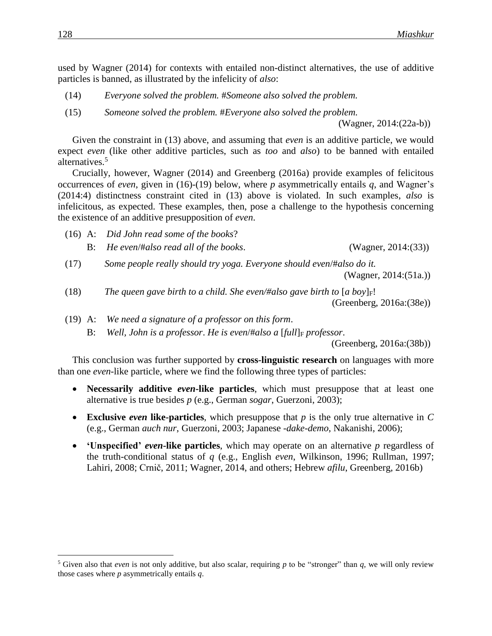used by Wagner (2014) for contexts with entailed non-distinct alternatives, the use of additive particles is banned, as illustrated by the infelicity of *also*:

- (14) *Everyone solved the problem.* #*Someone also solved the problem.*
- (15) *Someone solved the problem.* #*Everyone also solved the problem.*

(Wagner, 2014:(22a-b))

Given the constraint in (13) above, and assuming that *even* is an additive particle, we would expect *even* (like other additive particles, such as *too* and *also*) to be banned with entailed alternatives.<sup>5</sup>

Crucially, however, Wagner (2014) and Greenberg (2016a) provide examples of felicitous occurrences of *even*, given in (16)-(19) below, where *p* asymmetrically entails *q*, and Wagner's (2014:4) distinctness constraint cited in (13) above is violated. In such examples, *also* is infelicitous, as expected. These examples, then, pose a challenge to the hypothesis concerning the existence of an additive presupposition of *even*.

- (16) A: *Did John read some of the books*?
	- B: *He even*/#*also read all of the books*. (Wagner, 2014:(33))
- (17) *Some people really should try yoga. Everyone should even*/#*also do it.* (Wagner, 2014:(51a.))
- (18) *The queen gave birth to a child. She even/#also gave birth to*  $[a \, boy]_F!$ (Greenberg, 2016a:(38e))
- (19) A: *We need a signature of a professor on this form*.

B: *Well, John is a professor. He is even*/#*also a [full*] *F professor.* 

(Greenberg, 2016a:(38b))

This conclusion was further supported by **cross-linguistic research** on languages with more than one *even*-like particle, where we find the following three types of particles:

- **Necessarily additive** *even***-like particles**, which must presuppose that at least one alternative is true besides *p* (e.g., German *sogar*, Guerzoni, 2003);
- **Exclusive** *even* **like-particles**, which presuppose that  $p$  is the only true alternative in  $C$ (e.g., German *auch nur*, Guerzoni, 2003; Japanese *-dake-demo*, Nakanishi, 2006);
- **'Unspecified'** *even***-like particles**, which may operate on an alternative *p* regardless of the truth-conditional status of *q* (e.g., English *even*, Wilkinson, 1996; Rullman, 1997; Lahiri, 2008; Crnič, 2011; Wagner, 2014, and others; Hebrew *afilu*, Greenberg, 2016b)

<sup>&</sup>lt;sup>5</sup> Given also that *even* is not only additive, but also scalar, requiring p to be "stronger" than q, we will only review those cases where *p* asymmetrically entails *q*.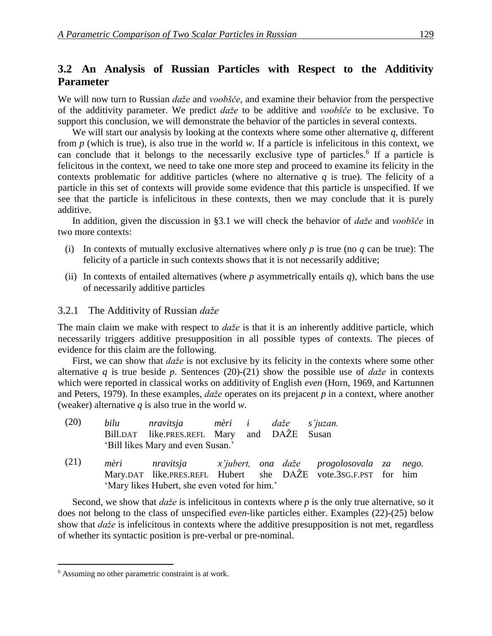### **3.2**xx**An Analysis of Russian Particles with Respect to the Additivity Parameter**

We will now turn to Russian *daže* and *voobšče*, and examine their behavior from the perspective of the additivity parameter. We predict *daže* to be additive and *voobšče* to be exclusive. To support this conclusion, we will demonstrate the behavior of the particles in several contexts.

We will start our analysis by looking at the contexts where some other alternative *q*, different from *p* (which is true), is also true in the world *w*. If a particle is infelicitous in this context, we can conclude that it belongs to the necessarily exclusive type of particles.<sup>6</sup> If a particle is felicitous in the context, we need to take one more step and proceed to examine its felicity in the contexts problematic for additive particles (where no alternative  $q$  is true). The felicity of a particle in this set of contexts will provide some evidence that this particle is unspecified. If we see that the particle is infelicitous in these contexts, then we may conclude that it is purely additive.

In addition, given the discussion in §3.1 we will check the behavior of *daže* and *voobšče* in two more contexts:

- (i) In contexts of mutually exclusive alternatives where only  $p$  is true (no  $q$  can be true): The felicity of a particle in such contexts shows that it is not necessarily additive;
- (ii) In contexts of entailed alternatives (where  $p$  asymmetrically entails  $q$ ), which bans the use of necessarily additive particles

#### 3.2.1xxThe Additivity of Russian *daže*

The main claim we make with respect to *daže* is that it is an inherently additive particle, which necessarily triggers additive presupposition in all possible types of contexts. The pieces of evidence for this claim are the following.

First, we can show that *daže* is not exclusive by its felicity in the contexts where some other alternative *q* is true beside *p*. Sentences (20)-(21) show the possible use of *daže* in contexts which were reported in classical works on additivity of English *even* (Horn, 1969, and Kartunnen and Peters, 1979). In these examples, *daže* operates on its prejacent *p* in a context, where another (weaker) alternative *q* is also true in the world *w*.

| (20) | bilu nravitsja mèri i daže s'juzan.<br>Bill.DAT like.PRES.REFL Mary and DAŽE Susan<br>'Bill likes Mary and even Susan.' |  |                                                                                                                            |  |
|------|-------------------------------------------------------------------------------------------------------------------------|--|----------------------------------------------------------------------------------------------------------------------------|--|
| (21) | 'Mary likes Hubert, she even voted for him.'                                                                            |  | mèri nravitsja x'jubert, ona daže progolosovala za nego.<br>Mary.DAT like.PRES.REFL Hubert she DAŽE vote.3sG.F.PST for him |  |

Second, we show that *daže* is infelicitous in contexts where *p* is the only true alternative, so it does not belong to the class of unspecified *even*-like particles either. Examples (22)-(25) below show that *daže* is infelicitous in contexts where the additive presupposition is not met, regardless of whether its syntactic position is pre-verbal or pre-nominal.

<sup>6</sup> Assuming no other parametric constraint is at work.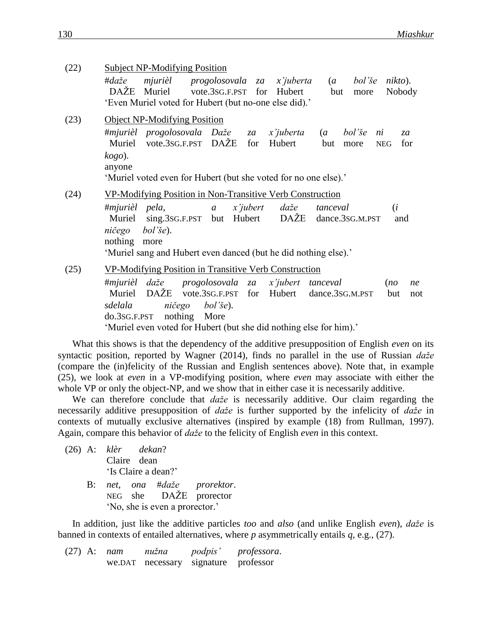| (22) | <b>Subject NP-Modifying Position</b>                                                                                                                                                                                                                                 |
|------|----------------------------------------------------------------------------------------------------------------------------------------------------------------------------------------------------------------------------------------------------------------------|
|      | #daže<br>mjurièl<br>progolosovala za x'juberta<br>bol'še<br>$nikto$ ).<br>$\overline{a}$<br>DAŽE<br>Muriel<br>vote.3sG.F.PST<br>for<br>Nobody<br>Hubert<br>but<br>more                                                                                               |
|      | 'Even Muriel voted for Hubert (but no-one else did).'                                                                                                                                                                                                                |
| (23) | <b>Object NP-Modifying Position</b>                                                                                                                                                                                                                                  |
|      | #mjurièl progolosovala Daže<br>x'juberta<br>bol'še<br>$\overline{a}$<br>za<br>ni<br>za<br>vote.3sG.F.PST DAŽE<br>Muriel<br>for<br>Hubert<br>but<br>for<br><b>NEG</b><br>more                                                                                         |
|      | $kogo$ ).<br>anyone<br>'Muriel voted even for Hubert (but she voted for no one else).'                                                                                                                                                                               |
| (24) | VP-Modifying Position in Non-Transitive Verb Construction                                                                                                                                                                                                            |
|      | #mjurièl pela,<br>(i)<br>x'jubert<br>daže<br>tanceval<br>$\boldsymbol{a}$<br>DAŽE<br>Hubert<br>Muriel<br>sing.3sG.F.PST but<br>dance.3sG.M.PST<br>and<br>ničego<br>$bol'$ še).<br>nothing<br>more<br>'Muriel sang and Hubert even danced (but he did nothing else).' |
| (25) | VP-Modifying Position in Transitive Verb Construction                                                                                                                                                                                                                |
|      | #mjurièl daže<br>progolosovala za<br>x'jubert tanceval<br>(no)<br>ne<br>DAŽE<br>vote.3sG.F.PST<br>Muriel<br>for<br>Hubert<br>dance.3sG.M.PST<br>but<br>not<br>ničego<br>sdelala<br>$bol$ 'še).                                                                       |
|      | $do.3SG.F.PST$ nothing<br>More<br>'Muriel even voted for Hubert (but she did nothing else for him).'                                                                                                                                                                 |
|      |                                                                                                                                                                                                                                                                      |

What this shows is that the dependency of the additive presupposition of English *even* on its syntactic position, reported by Wagner (2014), finds no parallel in the use of Russian *daže* (compare the (in)felicity of the Russian and English sentences above). Note that, in example (25), we look at *even* in a VP-modifying position, where *even* may associate with either the whole VP or only the object-NP, and we show that in either case it is necessarily additive.

We can therefore conclude that *daže* is necessarily additive. Our claim regarding the necessarily additive presupposition of *daže* is further supported by the infelicity of *daže* in contexts of mutually exclusive alternatives (inspired by example (18) from Rullman, 1997). Again, compare this behavior of *daže* to the felicity of English *even* in this context.

|  | (26) A: klèr dekan? |             |                              |  |
|--|---------------------|-------------|------------------------------|--|
|  |                     | Claire dean |                              |  |
|  |                     |             | 'Is Claire a dean?'          |  |
|  |                     |             | B: net, ona #daže pro.       |  |
|  |                     |             | $NEG$ she $DA\ddot{Z}E$ prop |  |

B: *net*, *ona* #*daže prorektor*. rector 'No, she is even a prorector.'

In addition, just like the additive particles *too* and *also* (and unlike English *even*), *daže* is banned in contexts of entailed alternatives, where *p* asymmetrically entails *q*, e.g., (27).

(27) A: *nam nužna podpis' professora*. we.DAT necessary signature professor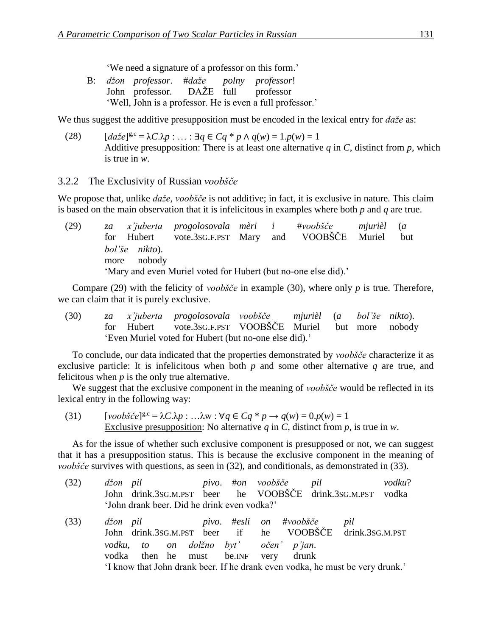'We need a signature of a professor on this form.'

B: *džon professor*. #*daže polny professor*! John professor. DAŽE full professor 'Well, John is a professor. He is even a full professor.'

We thus suggest the additive presupposition must be encoded in the lexical entry for *daže* as:

 $(daze)^{g.c} = \lambda C.\lambda p : ... : \exists q \in Cq * p \land q(w) = 1. p(w) = 1$ Additive presupposition: There is at least one alternative  $q$  in  $C$ , distinct from  $p$ , which is true in *w*.

#### 3.2.2xxThe Exclusivity of Russian *voobšče*

We propose that, unlike *daže*, *voobšče* is not additive; in fact, it is exclusive in nature. This claim is based on the main observation that it is infelicitous in examples where both *p* and *q* are true.

(29) *za x'juberta progolosovala mèri i* #*voobšče mjurièl* (*a* for Hubert vote.3SG.F.PST Mary and VOOBŠČE Muriel but *bol'še nikto*). more nobody 'Mary and even Muriel voted for Hubert (but no-one else did).'

Compare (29) with the felicity of *voobšče* in example (30), where only *p* is true. Therefore, we can claim that it is purely exclusive.

(30) *za x'juberta progolosovala voobšče mjurièl* (*a bol'še nikto*). for Hubert vote.3SG.F.PST VOOBŠČE Muriel but more nobody 'Even Muriel voted for Hubert (but no-one else did).'

To conclude, our data indicated that the properties demonstrated by *voobšče* characterize it as exclusive particle: It is infelicitous when both *p* and some other alternative *q* are true, and felicitous when *p* is the only true alternative.

We suggest that the exclusive component in the meaning of *voobšče* would be reflected in its lexical entry in the following way:

(31)  $[voob\check{s}\check{c}e]^{g,c} = \lambda C.\lambda p : ... \lambda w : \forall q \in Cq * p \rightarrow q(w) = 0. p(w) = 1$ Exclusive presupposition: No alternative *q* in *C*, distinct from *p*, is true in *w*.

As for the issue of whether such exclusive component is presupposed or not, we can suggest that it has a presupposition status. This is because the exclusive component in the meaning of *voobšče* survives with questions, as seen in (32), and conditionals, as demonstrated in (33).

- (32) *džon pil pivo*. #*on voobšče pil vodku*? John drink.3SG.M.PST beer he VOOBŠČE drink.3SG.M.PST vodka 'John drank beer. Did he drink even vodka?'
- (33) *džon pil pivo*. #*esli on* #*voobšče pil* John drink.3SG.M.PST beer if he VOOBŠČE drink.3SG.M.PST *vodku*, *to on dolžno byt' očen' p'jan*. vodka then he must be.INF very drunk 'I know that John drank beer. If he drank even vodka, he must be very drunk.'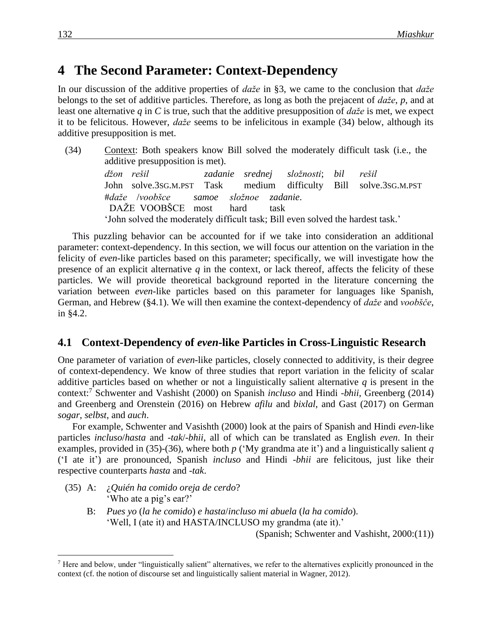## **4** The Second Parameter: Context-Dependency

In our discussion of the additive properties of *daže* in §3, we came to the conclusion that *daže* belongs to the set of additive particles. Therefore, as long as both the prejacent of *daže*, *p*, and at least one alternative *q* in *C* is true, such that the additive presupposition of *daže* is met, we expect it to be felicitous. However, *daže* seems to be infelicitous in example (34) below, although its additive presupposition is met.

(34) Context: Both speakers know Bill solved the moderately difficult task (i.e., the additive presupposition is met). *džon rešil zadanie srednej složnosti*; *bil rešil* John solve.3SG.M.PST Task medium difficulty Bill solve.3SG.M.PST #*daže* /*voobšce samoe složnoe zadanie*. DAŽE VOOBŠCE most hard task 'John solved the moderately difficult task; Bill even solved the hardest task.'

This puzzling behavior can be accounted for if we take into consideration an additional parameter: context-dependency. In this section, we will focus our attention on the variation in the felicity of *even*-like particles based on this parameter; specifically, we will investigate how the presence of an explicit alternative  $q$  in the context, or lack thereof, affects the felicity of these particles. We will provide theoretical background reported in the literature concerning the variation between *even*-like particles based on this parameter for languages like Spanish, German, and Hebrew (§4.1). We will then examine the context-dependency of *daže* and *voobšče*, in §4.2.

#### **4.1**xx**Context-Dependency of** *even***-like Particles in Cross-Linguistic Research**

One parameter of variation of *even*-like particles, closely connected to additivity, is their degree of context-dependency. We know of three studies that report variation in the felicity of scalar additive particles based on whether or not a linguistically salient alternative *q* is present in the context:<sup>7</sup> Schwenter and Vashisht (2000) on Spanish *incluso* and Hindi -*bhii*, Greenberg (2014) and Greenberg and Orenstein (2016) on Hebrew *afilu* and *bixlal*, and Gast (2017) on German *sogar*, *selbst*, and *auch*.

For example, Schwenter and Vasishth (2000) look at the pairs of Spanish and Hindi *even*-like particles *incluso*/*hasta* and -*tak*/-*bhii*, all of which can be translated as English *even*. In their examples, provided in (35)-(36), where both *p* ('My grandma ate it') and a linguistically salient *q* ('I ate it') are pronounced, Spanish *incluso* and Hindi -*bhii* are felicitous, just like their respective counterparts *hasta* and -*tak*.

(35) A: ¿*Quién ha comido oreja de cerdo*? 'Who ate a pig's ear?'

 $\overline{a}$ 

B: *Pues yo* (*la he comido*) *e hasta*/*incluso mi abuela* (*la ha comido*). 'Well, I (ate it) and HASTA/INCLUSO my grandma (ate it).'

(Spanish; Schwenter and Vashisht, 2000:(11))

<sup>&</sup>lt;sup>7</sup> Here and below, under "linguistically salient" alternatives, we refer to the alternatives explicitly pronounced in the context (cf. the notion of discourse set and linguistically salient material in Wagner, 2012).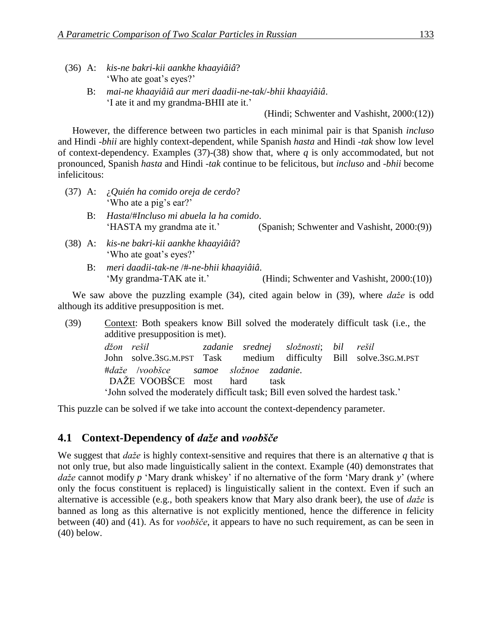- (36) A: *kis-ne bakri-kii aankhe khaayiâiâ*? 'Who ate goat's eyes?'
	- B: *mai*-*ne khaayiâiâ aur meri daadii*-*ne*-*tak*/-*bhii khaayiâiâ*. 'I ate it and my grandma-BHII ate it.'

(Hindi; Schwenter and Vashisht, 2000:(12))

However, the difference between two particles in each minimal pair is that Spanish *incluso* and Hindi -*bhii* are highly context-dependent, while Spanish *hasta* and Hindi -*tak* show low level of context-dependency. Examples (37)-(38) show that, where *q* is only accommodated, but not pronounced, Spanish *hasta* and Hindi -*tak* continue to be felicitous, but *incluso* and -*bhii* become infelicitous:

- (37) A: ¿*Quién ha comido oreja de cerdo*? 'Who ate a pig's ear?'
	- B: *Hasta*/#*Incluso mi abuela la ha comido*. 'HASTA my grandma ate it.' (Spanish; Schwenter and Vashisht, 2000:(9))
- (38) A: *kis-ne bakri-kii aankhe khaayiâiâ*? 'Who ate goat's eyes?'
	- B: *meri daadii*-*tak*-*ne* /#-*ne*-*bhii khaayiâiâ*. 'My grandma-TAK ate it.' (Hindi; Schwenter and Vashisht, 2000:(10))

We saw above the puzzling example (34), cited again below in (39), where *daže* is odd although its additive presupposition is met.

(39) Context: Both speakers know Bill solved the moderately difficult task (i.e., the additive presupposition is met). *džon rešil zadanie srednej složnosti*; *bil rešil* John solve.3SG.M.PST Task medium difficulty Bill solve.3SG.M.PST #*daže* /*voobšce samoe složnoe zadanie*. DAŽE VOOBŠCE most hard task 'John solved the moderately difficult task; Bill even solved the hardest task.'

This puzzle can be solved if we take into account the context-dependency parameter.

### **4.1**xx**Context-Dependency of** *daže* **and** *voobšče*

We suggest that *daže* is highly context-sensitive and requires that there is an alternative *q* that is not only true, but also made linguistically salient in the context. Example (40) demonstrates that *daže* cannot modify *p* 'Mary drank whiskey' if no alternative of the form 'Mary drank *y*' (where only the focus constituent is replaced) is linguistically salient in the context. Even if such an alternative is accessible (e.g., both speakers know that Mary also drank beer), the use of *daže* is banned as long as this alternative is not explicitly mentioned, hence the difference in felicity between (40) and (41). As for *voobšče*, it appears to have no such requirement, as can be seen in (40) below.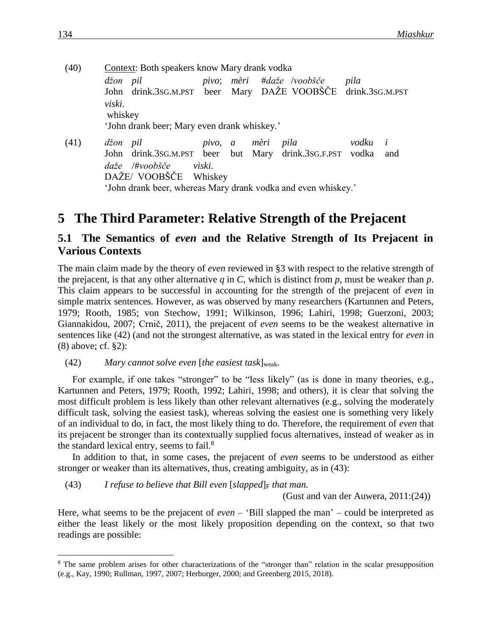- (40) Context: Both speakers know Mary drank vodka *džon pil pivo*; *mèri* #*daže* /*voobšče pila* John drink.3SG.M.PST beer Mary DAŽE VOOBŠČE drink.3SG.M.PST *viski*. whiskey 'John drank beer; Mary even drank whiskey.' (41) *džon pil pivo*, *a mèri pila vodku i*
- John drink.3SG.M.PST beer but Mary drink.3SG.F.PST vodka and *daže* /#*voobšče viski*. DAŽE/ VOOBŠČE Whiskey 'John drank beer, whereas Mary drank vodka and even whiskey.'

## **5** The Third Parameter: Relative Strength of the Prejacent

### **5.1 The Semantics of** *even* **and the Relative Strength of Its Prejacent in Various Contexts**

The main claim made by the theory of *even* reviewed in §3 with respect to the relative strength of the prejacent, is that any other alternative  $q$  in  $C$ , which is distinct from  $p$ , must be weaker than  $p$ . This claim appears to be successful in accounting for the strength of the prejacent of *even* in simple matrix sentences. However, as was observed by many researchers (Kartunnen and Peters, 1979; Rooth, 1985; von Stechow, 1991; Wilkinson, 1996; Lahiri, 1998; Guerzoni, 2003; Giannakidou, 2007; Crnič, 2011), the prejacent of *even* seems to be the weakest alternative in sentences like (42) (and not the strongest alternative, as was stated in the lexical entry for *even* in (8) above; cf. §2):

(42) *Mary cannot solve even* [*the easiest task*]weak*.*

For example, if one takes "stronger" to be "less likely" (as is done in many theories, e.g., Kartunnen and Peters, 1979; Rooth, 1992; Lahiri, 1998; and others), it is clear that solving the most difficult problem is less likely than other relevant alternatives (e.g., solving the moderately difficult task, solving the easiest task), whereas solving the easiest one is something very likely of an individual to do, in fact, the most likely thing to do. Therefore, the requirement of *even* that its prejacent be stronger than its contextually supplied focus alternatives, instead of weaker as in the standard lexical entry, seems to fail.<sup>8</sup>

In addition to that, in some cases, the prejacent of *even* seems to be understood as either stronger or weaker than its alternatives, thus, creating ambiguity, as in (43):

(43) *I refuse to believe that Bill even*  $[s\alpha]_F$  *that man.* 

(Gust and van der Auwera, 2011:(24))

Here, what seems to be the prejacent of *even* – 'Bill slapped the man' – could be interpreted as either the least likely or the most likely proposition depending on the context, so that two readings are possible:

<sup>&</sup>lt;sup>8</sup> The same problem arises for other characterizations of the "stronger than" relation in the scalar presupposition (e.g., Kay, 1990; Rullman, 1997, 2007; Herburger, 2000; and Greenberg 2015, 2018).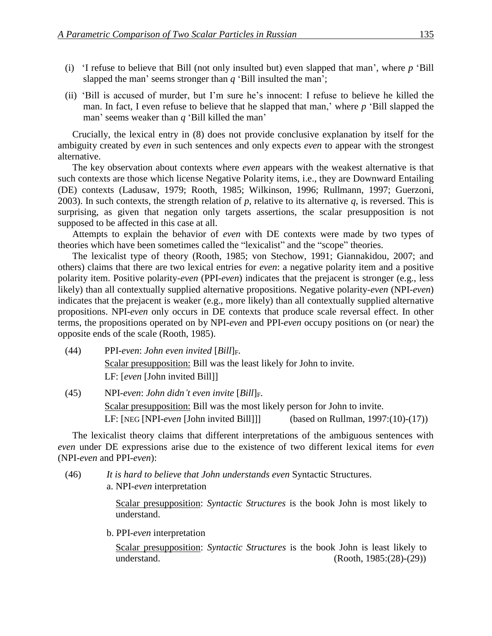- (i) 'I refuse to believe that Bill (not only insulted but) even slapped that man', where *p* 'Bill slapped the man' seems stronger than *q* 'Bill insulted the man';
- (ii) 'Bill is accused of murder, but I'm sure he's innocent: I refuse to believe he killed the man. In fact, I even refuse to believe that he slapped that man,' where *p* 'Bill slapped the man' seems weaker than *q* 'Bill killed the man'

Crucially, the lexical entry in (8) does not provide conclusive explanation by itself for the ambiguity created by *even* in such sentences and only expects *even* to appear with the strongest alternative.

The key observation about contexts where *even* appears with the weakest alternative is that such contexts are those which license Negative Polarity items, i.e., they are Downward Entailing (DE) contexts (Ladusaw, 1979; Rooth, 1985; Wilkinson, 1996; Rullmann, 1997; Guerzoni, 2003). In such contexts, the strength relation of  $p$ , relative to its alternative  $q$ , is reversed. This is surprising, as given that negation only targets assertions, the scalar presupposition is not supposed to be affected in this case at all.

Attempts to explain the behavior of *even* with DE contexts were made by two types of theories which have been sometimes called the "lexicalist" and the "scope" theories.

The lexicalist type of theory (Rooth, 1985; von Stechow, 1991; Giannakidou, 2007; and others) claims that there are two lexical entries for *even*: a negative polarity item and a positive polarity item. Positive polarity-*even* (PPI-*even*) indicates that the prejacent is stronger (e.g., less likely) than all contextually supplied alternative propositions. Negative polarity-*even* (NPI-*even*) indicates that the prejacent is weaker (e.g., more likely) than all contextually supplied alternative propositions. NPI-*even* only occurs in DE contexts that produce scale reversal effect. In other terms, the propositions operated on by NPI-*even* and PPI-*even* occupy positions on (or near) the opposite ends of the scale (Rooth, 1985).

- (44) PPI-*even*: *John even invited* [*Bill*]F. Scalar presupposition: Bill was the least likely for John to invite. LF: [*even* [John invited Bill]]
- (45) NPI-*even*: *John didn't even invite* [*Bill*]F. Scalar presupposition: Bill was the most likely person for John to invite. LF: [NEG [NPI-*even* [John invited Bill]]] (based on Rullman, 1997:(10)-(17))

The lexicalist theory claims that different interpretations of the ambiguous sentences with *even* under DE expressions arise due to the existence of two different lexical items for *even* (NPI-*even* and PPI-*even*):

(46) *It is hard to believe that John understands even* Syntactic Structures. a. NPI-*even* interpretation

> Scalar presupposition: *Syntactic Structures* is the book John is most likely to understand.

b. PPI-*even* interpretation

Scalar presupposition: *Syntactic Structures* is the book John is least likely to understand. (Rooth, 1985:(28)-(29))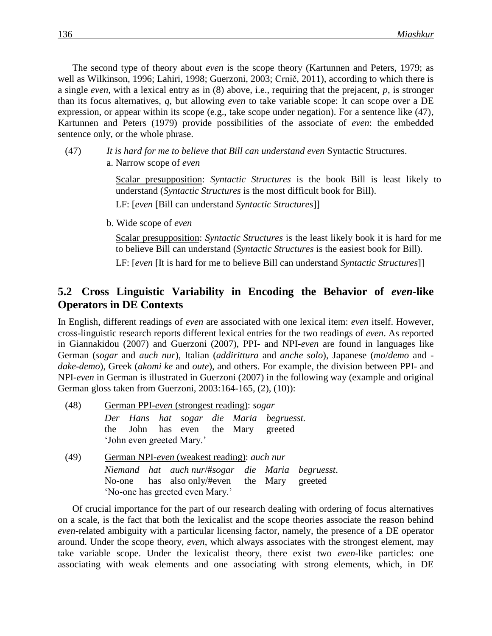The second type of theory about *even* is the scope theory (Kartunnen and Peters, 1979; as well as Wilkinson, 1996; Lahiri, 1998; Guerzoni, 2003; Crnič, 2011), according to which there is a single *even*, with a lexical entry as in (8) above, i.e., requiring that the prejacent, *p*, is stronger than its focus alternatives, *q*, but allowing *even* to take variable scope: It can scope over a DE expression, or appear within its scope (e.g., take scope under negation). For a sentence like (47), Kartunnen and Peters (1979) provide possibilities of the associate of *even*: the embedded sentence only, or the whole phrase.

- (47) *It is hard for me to believe that Bill can understand even* Syntactic Structures.
	- a. Narrow scope of *even*

Scalar presupposition: *Syntactic Structures* is the book Bill is least likely to understand (*Syntactic Structures* is the most difficult book for Bill).

LF: [*even* [Bill can understand *Syntactic Structures*]]

b. Wide scope of *even*

Scalar presupposition: *Syntactic Structures* is the least likely book it is hard for me to believe Bill can understand (*Syntactic Structures* is the easiest book for Bill).

LF: [*even* [It is hard for me to believe Bill can understand *Syntactic Structures*]]

### **5.2**xx**Cross Linguistic Variability in Encoding the Behavior of** *even***-like Operators in DE Contexts**

In English, different readings of *even* are associated with one lexical item: *even* itself. However, cross-linguistic research reports different lexical entries for the two readings of *even*. As reported in Giannakidou (2007) and Guerzoni (2007), PPI- and NPI-*even* are found in languages like German (*sogar* and *auch nur*), Italian (*addirittura* and *anche solo*), Japanese (*mo*/*demo* and *dake*-*demo*), Greek (*akomi ke* and *oute*), and others. For example, the division between PPI- and NPI-*even* in German is illustrated in Guerzoni (2007) in the following way (example and original German gloss taken from Guerzoni, 2003:164-165, (2), (10)):

| (48) | German PPI-even (strongest reading): sogar                                                                 |  |  |  |  |  |  |  |
|------|------------------------------------------------------------------------------------------------------------|--|--|--|--|--|--|--|
|      | Der Hans hat sogar die Maria begruesst.<br>the John has even the Mary greeted<br>'John even greeted Mary.' |  |  |  |  |  |  |  |
| (49) | German NPI-even (weakest reading): <i>auch nur</i>                                                         |  |  |  |  |  |  |  |
|      | Niemand hat auch nur/#sogar die Maria begruesst.                                                           |  |  |  |  |  |  |  |
|      | No-one has also only/#even the Mary greeted                                                                |  |  |  |  |  |  |  |
|      | 'No-one has greeted even Mary.'                                                                            |  |  |  |  |  |  |  |

Of crucial importance for the part of our research dealing with ordering of focus alternatives on a scale, is the fact that both the lexicalist and the scope theories associate the reason behind *even*-related ambiguity with a particular licensing factor, namely, the presence of a DE operator around. Under the scope theory, *even*, which always associates with the strongest element, may take variable scope. Under the lexicalist theory, there exist two *even*-like particles: one associating with weak elements and one associating with strong elements, which, in DE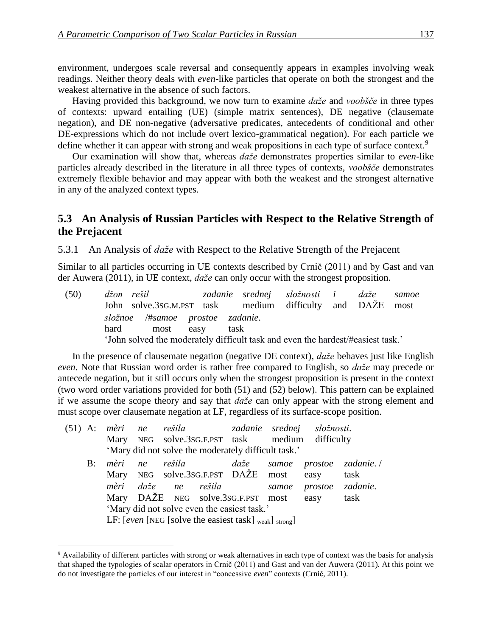environment, undergoes scale reversal and consequently appears in examples involving weak readings. Neither theory deals with *even*-like particles that operate on both the strongest and the weakest alternative in the absence of such factors.

Having provided this background, we now turn to examine *daže* and *voobšče* in three types of contexts: upward entailing (UE) (simple matrix sentences), DE negative (clausemate negation), and DE non-negative (adversative predicates, antecedents of conditional and other DE-expressions which do not include overt lexico-grammatical negation). For each particle we define whether it can appear with strong and weak propositions in each type of surface context.<sup>9</sup>

Our examination will show that, whereas *daže* demonstrates properties similar to *even*-like particles already described in the literature in all three types of contexts, *voobšče* demonstrates extremely flexible behavior and may appear with both the weakest and the strongest alternative in any of the analyzed context types.

#### **5.3** An Analysis of Russian Particles with Respect to the Relative Strength of **the Prejacent**

5.3.1 An Analysis of *daže* with Respect to the Relative Strength of the Prejacent

Similar to all particles occurring in UE contexts described by Crnič (2011) and by Gast and van der Auwera (2011), in UE context, *daže* can only occur with the strongest proposition.

|  |                                  | (50) džon rešil  – zadanie srednej složnosti i daže samoe                       |  |  |
|--|----------------------------------|---------------------------------------------------------------------------------|--|--|
|  |                                  | John solve.3sG.M.PST task medium difficulty and DAŽE most                       |  |  |
|  | složnoe /#samoe prostoe zadanie. |                                                                                 |  |  |
|  | hard most easy task              |                                                                                 |  |  |
|  |                                  | 'John solved the moderately difficult task and even the hardest/#easiest task.' |  |  |

In the presence of clausemate negation (negative DE context), *daže* behaves just like English *even*. Note that Russian word order is rather free compared to English, so *daže* may precede or antecede negation, but it still occurs only when the strongest proposition is present in the context (two word order variations provided for both (51) and (52) below). This pattern can be explained if we assume the scope theory and say that *daže* can only appear with the strong element and must scope over clausemate negation at LF, regardless of its surface-scope position.

| $(51)$ A: |    |                                                                                 |    |                     |  |                                                     |       | mèri ne rešila   zadanie srednej složnosti.     |                         |
|-----------|----|---------------------------------------------------------------------------------|----|---------------------|--|-----------------------------------------------------|-------|-------------------------------------------------|-------------------------|
|           |    |                                                                                 |    |                     |  |                                                     |       | Mary NEG solve.3sG.F.PST task medium difficulty |                         |
|           |    |                                                                                 |    |                     |  | 'Mary did not solve the moderately difficult task.' |       |                                                 |                         |
|           | B: | mèri                                                                            | ne | rešila              |  | daže                                                |       |                                                 | samoe prostoe zadanie./ |
|           |    | Mary                                                                            |    |                     |  | NEG solve.3sG.F.PST DAŽE most                       |       | easy                                            | task                    |
|           |    |                                                                                 |    | mèri daže ne rešila |  |                                                     | samoe | prostoe                                         | zadanie.                |
|           |    |                                                                                 |    |                     |  | Mary DAŽE NEG solve.3SG.F.PST most                  |       | easy                                            | task                    |
|           |    | 'Mary did not solve even the easiest task.'                                     |    |                     |  |                                                     |       |                                                 |                         |
|           |    | LF: [even [NEG [solve the easiest task] $_{\text{weak}}$ ] $_{\text{strong}}$ ] |    |                     |  |                                                     |       |                                                 |                         |

<sup>9</sup> Availability of different particles with strong or weak alternatives in each type of context was the basis for analysis that shaped the typologies of scalar operators in Crnič (2011) and Gast and van der Auwera (2011). At this point we do not investigate the particles of our interest in "concessive *even*" contexts (Crnič, 2011).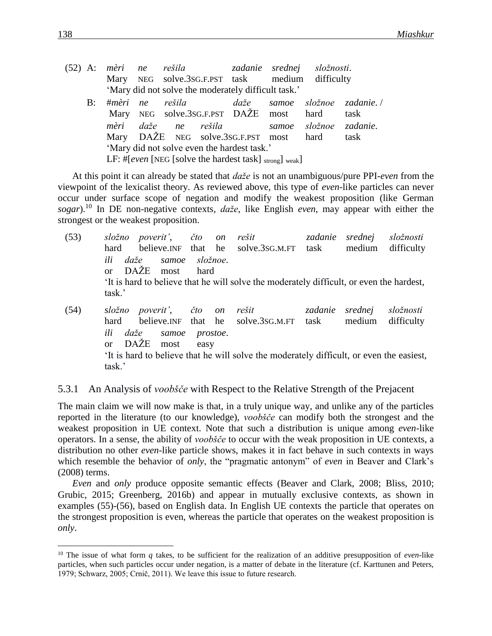|    |                                             |                 |                                         |                                                     |                                                                            | (52) A: mèri ne rešila   zadanie srednej složnosti. |                         |  |
|----|---------------------------------------------|-----------------|-----------------------------------------|-----------------------------------------------------|----------------------------------------------------------------------------|-----------------------------------------------------|-------------------------|--|
|    |                                             |                 |                                         |                                                     |                                                                            | Mary NEG solve.3sG.F.PST task medium difficulty     |                         |  |
|    |                                             |                 |                                         | 'Mary did not solve the moderately difficult task.' |                                                                            |                                                     |                         |  |
| B: |                                             | #mèri ne rešila |                                         | daže                                                |                                                                            |                                                     | samoe složnoe zadanie./ |  |
|    |                                             |                 |                                         | Mary NEG solve.3sG.F.PST DAŽE most                  |                                                                            | hard                                                | task                    |  |
|    |                                             |                 |                                         | mèri daže ne rešila                                 |                                                                            |                                                     | samoe složnoe zadanie.  |  |
|    |                                             |                 | Mary DAŽE NEG solve.3sG.F.PST most hard |                                                     | task                                                                       |                                                     |                         |  |
|    | 'Mary did not solve even the hardest task.' |                 |                                         |                                                     |                                                                            |                                                     |                         |  |
|    |                                             |                 |                                         |                                                     | LF: #[even [NEG [solve the hardest task] $\langle x \rangle$ strong] weak] |                                                     |                         |  |
|    |                                             |                 |                                         |                                                     |                                                                            |                                                     |                         |  |

At this point it can already be stated that *daže* is not an unambiguous/pure PPI-*even* from the viewpoint of the lexicalist theory. As reviewed above, this type of *even*-like particles can never occur under surface scope of negation and modify the weakest proposition (like German *sogar*).<sup>10</sup> In DE non-negative contexts, *daže*, like English *even*, may appear with either the strongest or the weakest proposition.

(53) *složno poverit'*, *čto on rešit zadanie srednej složnosti* hard believe. INF that he solve. 3SG.M.FT task medium difficulty *ili daže samoe složnoe*. or DAŽE most hard 'It is hard to believe that he will solve the moderately difficult, or even the hardest, task.'

(54) *složno poverit'*, *čto on rešit zadanie srednej složnosti* hard believe. INF that he solve. 3SG.M.FT task medium difficulty *ili daže samoe prostoe*. or DAŽE most easy 'It is hard to believe that he will solve the moderately difficult, or even the easiest, task.'

#### 5.3.1 An Analysis of *voobšče* with Respect to the Relative Strength of the Prejacent

The main claim we will now make is that, in a truly unique way, and unlike any of the particles reported in the literature (to our knowledge), *voobšče* can modify both the strongest and the weakest proposition in UE context. Note that such a distribution is unique among *even*-like operators. In a sense, the ability of *voobšče* to occur with the weak proposition in UE contexts, a distribution no other *even*-like particle shows, makes it in fact behave in such contexts in ways which resemble the behavior of *only*, the "pragmatic antonym" of *even* in Beaver and Clark's (2008) terms.

*Even* and *only* produce opposite semantic effects (Beaver and Clark, 2008; Bliss, 2010; Grubic, 2015; Greenberg, 2016b) and appear in mutually exclusive contexts, as shown in examples (55)-(56), based on English data. In English UE contexts the particle that operates on the strongest proposition is even, whereas the particle that operates on the weakest proposition is *only*.

<sup>10</sup> The issue of what form *q* takes, to be sufficient for the realization of an additive presupposition of *even*-like particles, when such particles occur under negation, is a matter of debate in the literature (cf. Karttunen and Peters, 1979; Schwarz, 2005; Crnič, 2011). We leave this issue to future research.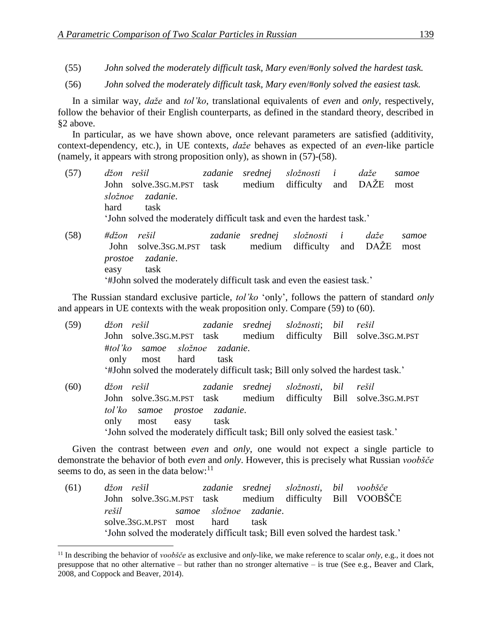- (55) *John solved the moderately difficult task, Mary even*/#*only solved the hardest task.*
- (56) *John solved the moderately difficult task, Mary even*/#*only solved the easiest task.*

In a similar way, *daže* and *tol'ko*, translational equivalents of *even* and *only*, respectively, follow the behavior of their English counterparts, as defined in the standard theory, described in §2 above.

In particular, as we have shown above, once relevant parameters are satisfied (additivity, context-dependency, etc.), in UE contexts, *daže* behaves as expected of an *even*-like particle (namely, it appears with strong proposition only), as shown in (57)-(58).

- (57) *džon rešil zadanie srednej složnosti i daže samoe* John solve.3SG.M.PST task medium difficulty and DAŽE most *složnoe zadanie*. hard task 'John solved the moderately difficult task and even the hardest task.'
- (58) *#džon rešil zadanie srednej složnosti i daže samoe* John solve.3SG.M.PST task medium difficulty and DAŽE most *prostoe zadanie*. easy task '#John solved the moderately difficult task and even the easiest task.'

The Russian standard exclusive particle, *tol'ko* 'only', follows the pattern of standard *only*  and appears in UE contexts with the weak proposition only. Compare (59) to (60).

| (59) | džon rešil pri predstav                                                          |      |                 | zadanie srednej složnosti; bil |     | rešil                           |
|------|----------------------------------------------------------------------------------|------|-----------------|--------------------------------|-----|---------------------------------|
|      | John solve.3sG.M.PST task medium                                                 |      |                 |                                |     | difficulty Bill solve.3sG.M.PST |
|      | #tol'ko samoe složnoe zadanie.                                                   |      |                 |                                |     |                                 |
|      | most hard<br>only                                                                | task |                 |                                |     |                                 |
|      | '#John solved the moderately difficult task; Bill only solved the hardest task.' |      |                 |                                |     |                                 |
| (60) | džon rešil                                                                       |      | zadanie srednej | složnosti,                     | bil | rešil                           |
|      | John solve.3sG.M.PST task medium difficulty Bill solve.3sG.M.PST                 |      |                 |                                |     |                                 |
|      | tol'ko samoe prostoe zadanie.                                                    |      |                 |                                |     |                                 |
|      | only<br>most<br>easy                                                             | task |                 |                                |     |                                 |
|      | 'John solved the moderately difficult task; Bill only solved the easiest task.'  |      |                 |                                |     |                                 |

Given the contrast between *even* and *only*, one would not expect a single particle to demonstrate the behavior of both *even* and *only*. However, this is precisely what Russian *voobšče* seems to do, as seen in the data below: $^{11}$ 

(61) *džon rešil zadanie srednej složnosti*, *bil voobšče*  John solve.3SG.M.PST task medium difficulty Bill VOOBŠČE *rešil samoe složnoe zadanie*. solve.3sG.M.PST most hard task 'John solved the moderately difficult task; Bill even solved the hardest task.'

<sup>11</sup> In describing the behavior of *voobšče* as exclusive and *only*-like, we make reference to scalar *only*, e.g., it does not presuppose that no other alternative – but rather than no stronger alternative – is true (See e.g., Beaver and Clark, 2008, and Coppock and Beaver, 2014).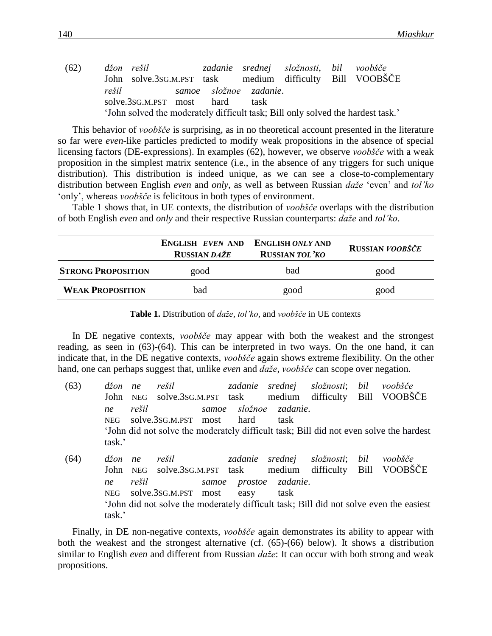(62) *džon rešil zadanie srednej složnosti*, *bil voobšče*  John solve.3SG.M.PST task medium difficulty Bill VOOBŠČE *rešil samoe složnoe zadanie*. solve.3sG.M.PST most hard task 'John solved the moderately difficult task; Bill only solved the hardest task.'

This behavior of *voobšče* is surprising, as in no theoretical account presented in the literature so far were *even*-like particles predicted to modify weak propositions in the absence of special licensing factors (DE-expressions). In examples (62), however, we observe *voobšče* with a weak proposition in the simplest matrix sentence (i.e., in the absence of any triggers for such unique distribution). This distribution is indeed unique, as we can see a close-to-complementary distribution between English *even* and *only*, as well as between Russian *daže* 'even' and *tol'ko* 'only', whereas *voobšče* is felicitous in both types of environment.

Table 1 shows that, in UE contexts, the distribution of *voobšče* overlaps with the distribution of both English *even* and *only* and their respective Russian counterparts: *daže* and *tol'ko*.

|                           | <b>ENGLISH EVEN AND ENGLISH ONLY AND</b><br><b>RUSSIAN DAŽE</b> | <b>RUSSIAN TOL'KO</b> | RUSSIAN VOOBŠČE |
|---------------------------|-----------------------------------------------------------------|-----------------------|-----------------|
| <b>STRONG PROPOSITION</b> | good                                                            | bad                   | good            |
| <b>WEAK PROPOSITION</b>   | bad                                                             | good                  | good            |

| <b>Table 1.</b> Distribution of <i>daže, tol'ko</i> , and <i>voobšče</i> in UE contexts |  |
|-----------------------------------------------------------------------------------------|--|
|-----------------------------------------------------------------------------------------|--|

In DE negative contexts, *voobšče* may appear with both the weakest and the strongest reading, as seen in (63)-(64). This can be interpreted in two ways. On the one hand, it can indicate that, in the DE negative contexts, *voobšče* again shows extreme flexibility. On the other hand, one can perhaps suggest that, unlike *even* and *daže*, *voobšče* can scope over negation.

- (63) *džon ne rešil zadanie srednej složnosti*; *bil voobšče*  John NEG solve.3SG.M.PST task medium difficulty Bill VOOBŠČE *ne rešil samoe složnoe zadanie*. NEG solve.3SG.M.PST most hard task 'John did not solve the moderately difficult task; Bill did not even solve the hardest task.'
- (64) *džon ne rešil zadanie srednej složnosti*; *bil voobšče*  John NEG solve.3SG.M.PST task medium difficulty Bill VOOBŠČE *ne rešil samoe prostoe zadanie*. NEG solve.3SG.M.PST most easy task 'John did not solve the moderately difficult task; Bill did not solve even the easiest task.'

Finally, in DE non-negative contexts, *voobšče* again demonstrates its ability to appear with both the weakest and the strongest alternative (cf. (65)-(66) below). It shows a distribution similar to English *even* and different from Russian *daže*: It can occur with both strong and weak propositions.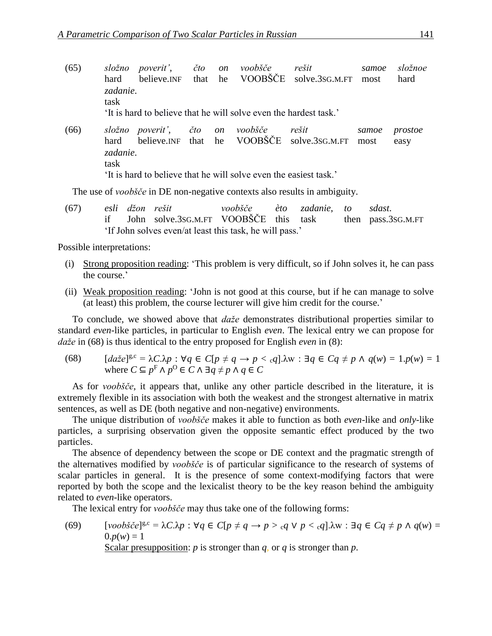- (65) *složno poverit'*, *čto on voobšče rešit samoe složnoe* hard believe.INF that he VOOBSCE solve.3sG.M.FT most hard *zadanie*. task 'It is hard to believe that he will solve even the hardest task.' (66) *složno poverit'*, *čto on voobšče rešit samoe prostoe* hard believe.INF that he VOOBSCE solve.3sG.M.FT most easy
- *zadanie*. task 'It is hard to believe that he will solve even the easiest task.'

The use of *voobšče* in DE non-negative contexts also results in ambiguity.

(67) *esli džon rešit voobšče èto zadanie*, *to sdast*. if John solve.3SG.M.FT VOOBŠČE this task then pass.3SG.M.FT 'If John solves even/at least this task, he will pass.'

Possible interpretations:

- (i) Strong proposition reading: 'This problem is very difficult, so if John solves it, he can pass the course.'
- (ii) Weak proposition reading: 'John is not good at this course, but if he can manage to solve (at least) this problem, the course lecturer will give him credit for the course.'

To conclude, we showed above that *daže* demonstrates distributional properties similar to standard *even*-like particles, in particular to English *even*. The lexical entry we can propose for *daže* in (68) is thus identical to the entry proposed for English *even* in (8):

(68)  $[da \check{z}e]^{g,c} = λC.\lambda p : \forall q \in C[p \neq q \rightarrow p < cq].\lambda w : \exists q \in Cq \neq p \land q(w) = 1.p(w) = 1$ where  $C \subseteq p^F \land p^O \in C \land \exists q \neq p \land q \in C$ 

As for *voobšče*, it appears that, unlike any other particle described in the literature, it is extremely flexible in its association with both the weakest and the strongest alternative in matrix sentences, as well as DE (both negative and non-negative) environments.

The unique distribution of *voobšče* makes it able to function as both *even*-like and *only*-like particles, a surprising observation given the opposite semantic effect produced by the two particles.

The absence of dependency between the scope or DE context and the pragmatic strength of the alternatives modified by *voobšče* is of particular significance to the research of systems of scalar particles in general. It is the presence of some context-modifying factors that were reported by both the scope and the lexicalist theory to be the key reason behind the ambiguity related to *even*-like operators.

The lexical entry for *voobšče* may thus take one of the following forms:

(69)  $[voob\check{c}e]^{g,c} = \lambda C.\lambda p : \forall q \in C[p \neq q \rightarrow p > cq \vee p < cq].\lambda w : \exists q \in Cq \neq p \wedge q(w) =$  $0. p(w) = 1$ Scalar presupposition: *p* is stronger than *q*, or *q* is stronger than *p*.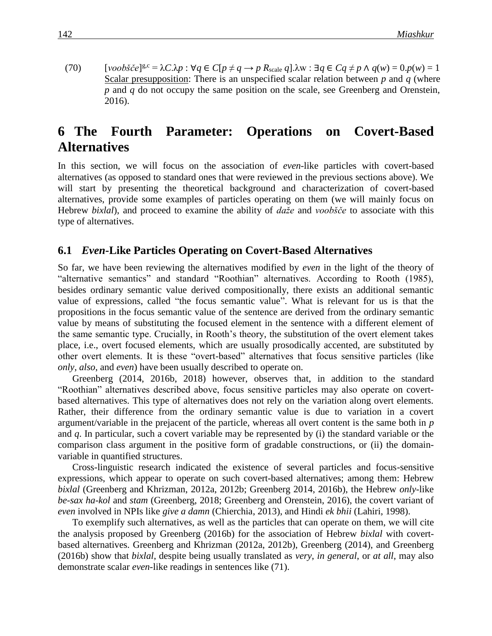(70)  $[voob\check{s}\check{c}e]^{g,c} = \lambda C.\lambda p : \forall q \in C[p \neq q \rightarrow p \ R_{scale} q].\lambda w : \exists q \in Cq \neq p \land q(w) = 0.p(w) = 1$ Scalar presupposition: There is an unspecified scalar relation between *p* and *q* (where *p* and *q* do not occupy the same position on the scale, see Greenberg and Orenstein, 2016).

## **6** The Fourth Parameter: Operations on Covert-Based **Alternatives**

In this section, we will focus on the association of *even*-like particles with covert-based alternatives (as opposed to standard ones that were reviewed in the previous sections above). We will start by presenting the theoretical background and characterization of covert-based alternatives, provide some examples of particles operating on them (we will mainly focus on Hebrew *bixlal*), and proceed to examine the ability of *daže* and *voobšče* to associate with this type of alternatives.

#### **6.1** *Even*-Like Particles Operating on Covert-Based Alternatives

So far, we have been reviewing the alternatives modified by *even* in the light of the theory of "alternative semantics" and standard "Roothian" alternatives. According to Rooth (1985), besides ordinary semantic value derived compositionally, there exists an additional semantic value of expressions, called "the focus semantic value". What is relevant for us is that the propositions in the focus semantic value of the sentence are derived from the ordinary semantic value by means of substituting the focused element in the sentence with a different element of the same semantic type. Crucially, in Rooth's theory, the substitution of the overt element takes place, i.e., overt focused elements, which are usually prosodically accented, are substituted by other overt elements. It is these "overt-based" alternatives that focus sensitive particles (like *only*, *also*, and *even*) have been usually described to operate on.

Greenberg (2014, 2016b, 2018) however, observes that, in addition to the standard "Roothian" alternatives described above, focus sensitive particles may also operate on covertbased alternatives. This type of alternatives does not rely on the variation along overt elements. Rather, their difference from the ordinary semantic value is due to variation in a covert argument/variable in the prejacent of the particle, whereas all overt content is the same both in *p* and *q*. In particular, such a covert variable may be represented by (i) the standard variable or the comparison class argument in the positive form of gradable constructions, or (ii) the domainvariable in quantified structures.

Cross-linguistic research indicated the existence of several particles and focus-sensitive expressions, which appear to operate on such covert-based alternatives; among them: Hebrew *bixlal* (Greenberg and Khrizman, 2012a, 2012b; Greenberg 2014, 2016b), the Hebrew *only*-like *be-sax ha-kol* and *stam* (Greenberg, 2018; Greenberg and Orenstein, 2016), the covert variant of *even* involved in NPIs like *give a damn* (Chierchia, 2013), and Hindi *ek bhii* (Lahiri, 1998).

To exemplify such alternatives, as well as the particles that can operate on them, we will cite the analysis proposed by Greenberg (2016b) for the association of Hebrew *bixlal* with covertbased alternatives. Greenberg and Khrizman (2012a, 2012b), Greenberg (2014), and Greenberg (2016b) show that *bixlal*, despite being usually translated as *very*, *in general*, or *at all*, may also demonstrate scalar *even*-like readings in sentences like (71).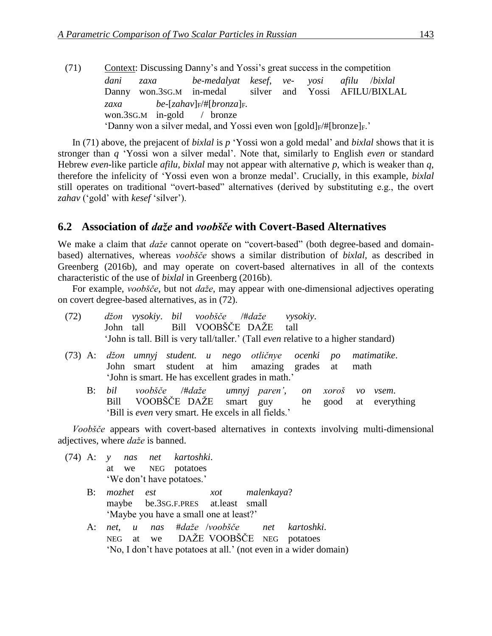(71) Context: Discussing Danny's and Yossi's great success in the competition *dani zaxa be-medalyat kesef*, *ve- yosi afilu* /*bixlal* Danny won.3SG.M in-medal silver and Yossi AFILU/BIXLAL *zaxa be-*[*zahav*] $F$ /#[*bronza*] $F$ *.* won.3SG.M in-gold / bronze 'Danny won a silver medal, and Yossi even won  $[gold]_F/\#[bronze]_F$ .'

In (71) above, the prejacent of *bixlal* is *p* 'Yossi won a gold medal' and *bixlal* shows that it is stronger than *q* 'Yossi won a silver medal'. Note that, similarly to English *even* or standard Hebrew *even*-like particle *afilu*, *bixlal* may not appear with alternative *p*, which is weaker than *q*, therefore the infelicity of 'Yossi even won a bronze medal'. Crucially, in this example, *bixlal* still operates on traditional "overt-based" alternatives (derived by substituting e.g., the overt *zahav* ('gold' with *kesef* 'silver').

#### **6.2**xx**Association of** *daže* **and** *voobšče* **with Covert-Based Alternatives**

We make a claim that *daže* cannot operate on "covert-based" (both degree-based and domainbased) alternatives, whereas *voobšče* shows a similar distribution of *bixlal,* as described in Greenberg (2016b), and may operate on covert-based alternatives in all of the contexts characteristic of the use of *bixlal* in Greenberg (2016b).

For example, *voobšče*, but not *daže*, may appear with one-dimensional adjectives operating on covert degree-based alternatives, as in (72).

|  |  | (72) džon vysokiy. bil voobšče /#daže vysokiy. |                                                                                            |  |
|--|--|------------------------------------------------|--------------------------------------------------------------------------------------------|--|
|  |  | John tall Bill VOOBŠČE DAŽE tall               |                                                                                            |  |
|  |  |                                                | 'John is tall. Bill is very tall/taller.' (Tall <i>even</i> relative to a higher standard) |  |

- (73) A: *džon umnyj student. u nego otličnye ocenki po matimatike*. John smart student at him amazing grades at math 'John is smart. He has excellent grades in math.'
	- B: *bil voobšče* /#*daže umnyj paren'*, *on xoroš vo vsem*. Bill VOOBŠČE DAŽE smart guy he good at everything 'Bill is *even* very smart. He excels in all fields.'

*Voobšče* appears with covert-based alternatives in contexts involving multi-dimensional adjectives, where *daže* is banned.

- (74) A: *y nas net kartoshki*. at we NEG potatoes 'We don't have potatoes.'
	- B: *mozhet est xot malenkaya*? maybe be.3SG.F.PRES at.least small 'Maybe you have a small one at least?'
	- A: *net*, *u nas* #*daže* /*voobšče net kartoshki*. NEG at we DAŽE VOOBŠČE NEG potatoes 'No, I don't have potatoes at all.' (not even in a wider domain)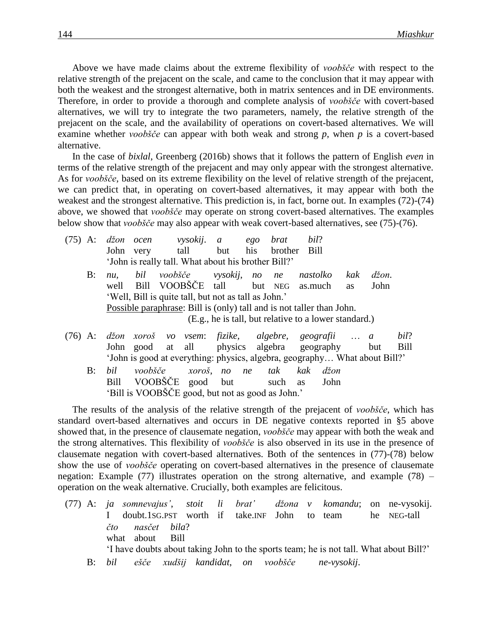Above we have made claims about the extreme flexibility of *voobšče* with respect to the relative strength of the prejacent on the scale, and came to the conclusion that it may appear with both the weakest and the strongest alternative, both in matrix sentences and in DE environments. Therefore, in order to provide a thorough and complete analysis of *voobšče* with covert-based alternatives, we will try to integrate the two parameters, namely, the relative strength of the prejacent on the scale, and the availability of operations on covert-based alternatives. We will examine whether *voobšče* can appear with both weak and strong *p*, when *p* is a covert-based alternative.

In the case of *bixlal*, Greenberg (2016b) shows that it follows the pattern of English *even* in terms of the relative strength of the prejacent and may only appear with the strongest alternative. As for *voobšče*, based on its extreme flexibility on the level of relative strength of the prejacent, we can predict that, in operating on covert-based alternatives, it may appear with both the weakest and the strongest alternative. This prediction is, in fact, borne out. In examples (72)-(74) above, we showed that *voobšče* may operate on strong covert-based alternatives. The examples below show that *voobšče* may also appear with weak covert-based alternatives, see (75)-(76).

| $(75)$ A:                                                                  |                                                       | džon ocen                                                             |      |  | <i>vysokij.</i> a   |                        | ego | brat        | bil?                                       |           |                  |      |
|----------------------------------------------------------------------------|-------------------------------------------------------|-----------------------------------------------------------------------|------|--|---------------------|------------------------|-----|-------------|--------------------------------------------|-----------|------------------|------|
|                                                                            |                                                       | John                                                                  | very |  | tall                | but                    |     | his brother | Bill                                       |           |                  |      |
|                                                                            |                                                       | 'John is really tall. What about his brother Bill?'                   |      |  |                     |                        |     |             |                                            |           |                  |      |
|                                                                            | B:                                                    | nu.                                                                   | bil  |  |                     | voobšče vysokij, no ne |     |             | nastolko                                   | kak       | $d\check{z}$ on. |      |
|                                                                            |                                                       | well                                                                  |      |  | Bill VOOBŠČE tall   |                        |     |             | but NEG as.much                            | <b>as</b> | John             |      |
| 'Well, Bill is quite tall, but not as tall as John.'                       |                                                       |                                                                       |      |  |                     |                        |     |             |                                            |           |                  |      |
|                                                                            |                                                       | Possible paraphrase: Bill is (only) tall and is not taller than John. |      |  |                     |                        |     |             |                                            |           |                  |      |
|                                                                            | (E.g., he is tall, but relative to a lower standard.) |                                                                       |      |  |                     |                        |     |             |                                            |           |                  |      |
| $(76)$ A:                                                                  |                                                       |                                                                       |      |  | džon xoroš vo vsem: |                        |     |             | fizike, algebre, geografii  a              |           |                  | bil? |
|                                                                            |                                                       |                                                                       |      |  |                     |                        |     |             | John good at all physics algebra geography |           | but              | Bill |
| 'John is good at everything: physics, algebra, geography What about Bill?' |                                                       |                                                                       |      |  |                     |                        |     |             |                                            |           |                  |      |

B: *bil voobšče xoroš*, *no ne tak kak džon* Bill VOOBŠČE good but such as John 'Bill is VOOBŠČE good, but not as good as John.'

The results of the analysis of the relative strength of the prejacent of *voobšče*, which has standard overt-based alternatives and occurs in DE negative contexts reported in §5 above showed that, in the presence of clausemate negation, *voobšče* may appear with both the weak and the strong alternatives. This flexibility of *voobšče* is also observed in its use in the presence of clausemate negation with covert-based alternatives. Both of the sentences in (77)-(78) below show the use of *voobšče* operating on covert-based alternatives in the presence of clausemate negation: Example (77) illustrates operation on the strong alternative, and example (78) – operation on the weak alternative. Crucially, both examples are felicitous.

(77) A: *ja somnevajus'*, *stoit li brat' džona v komandu*; on ne-vysokij. I doubt.1SG.PST worth if take.INF John to team he NEG-tall *čto nasčet bila*? what about Bill 'I have doubts about taking John to the sports team; he is not tall. What about Bill?' B: *bil ešče xudšij kandidat*, *on voobšče ne-vysokij*.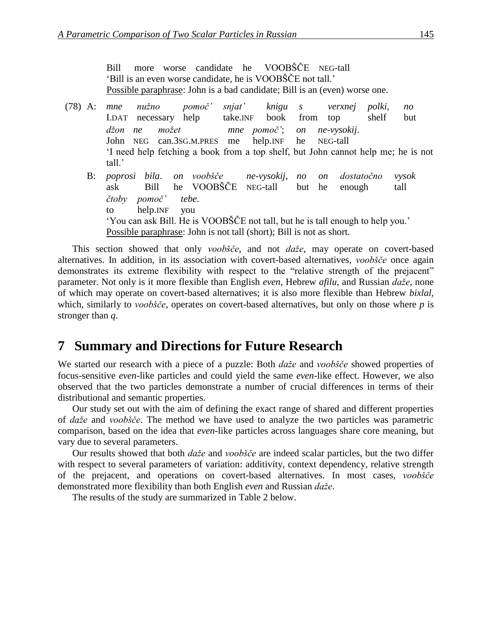Bill more worse candidate he VOOBŠČE NEG-tall 'Bill is an even worse candidate, he is VOOBŠČE not tall.' Possible paraphrase: John is a bad candidate; Bill is an (even) worse one.

(78) A: *mne nužno pomoč' snjat' knigu s verxnej polki*, *no* I.DAT necessary help take.INF book from top shelf but *džon ne možet mne pomoč'*; *on ne-vysokij*. John NEG can.3SG.M.PRES me help.INF he NEG-tall 'I need help fetching a book from a top shelf, but John cannot help me; he is not tall.' B: *poprosi bila*. *on voobšče ne-vysokij*, *no on dostatočno vysok* ask Bill he VOOBŠČE NEG-tall but he enough tall *čtoby pomoč' tebe*. to help.INF you 'You can ask Bill. He is VOOBŠČE not tall, but he is tall enough to help you.' Possible paraphrase: John is not tall (short); Bill is not as short.

This section showed that only *voobšče*, and not *daže*, may operate on covert-based alternatives. In addition, in its association with covert-based alternatives, *voobšče* once again demonstrates its extreme flexibility with respect to the "relative strength of the prejacent" parameter. Not only is it more flexible than English *even*, Hebrew *afilu*, and Russian *daže*, none of which may operate on covert-based alternatives; it is also more flexible than Hebrew *bixlal*, which, similarly to *voobšče*, operates on covert-based alternatives, but only on those where *p* is stronger than *q*.

### **7** Summary and Directions for Future Research

We started our research with a piece of a puzzle: Both *daže* and *voobšče* showed properties of focus-sensitive *even*-like particles and could yield the same *even*-like effect. However, we also observed that the two particles demonstrate a number of crucial differences in terms of their distributional and semantic properties.

Our study set out with the aim of defining the exact range of shared and different properties of *daže* and *voobšče*. The method we have used to analyze the two particles was parametric comparison, based on the idea that *even*-like particles across languages share core meaning, but vary due to several parameters.

Our results showed that both *daže* and *voobšče* are indeed scalar particles, but the two differ with respect to several parameters of variation: additivity, context dependency, relative strength of the prejacent, and operations on covert-based alternatives. In most cases, *voobšče* demonstrated more flexibility than both English *even* and Russian *daže*.

The results of the study are summarized in Table 2 below.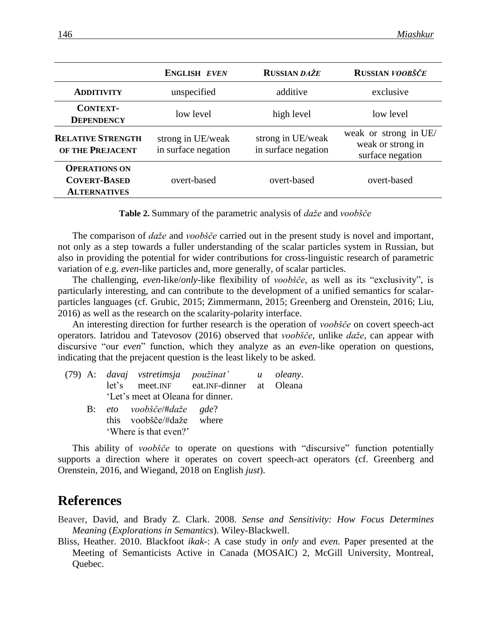|                                                                    | <b>ENGLISH EVEN</b>                      | <b>RUSSIAN DAŽE</b>                      | RUSSIAN VOOBŠČE                                                |  |
|--------------------------------------------------------------------|------------------------------------------|------------------------------------------|----------------------------------------------------------------|--|
| <b>ADDITIVITY</b>                                                  | unspecified                              | additive                                 | exclusive                                                      |  |
| <b>CONTEXT-</b><br><b>DEPENDENCY</b>                               | low level                                | high level                               | low level                                                      |  |
| <b>RELATIVE STRENGTH</b><br>OF THE PREJACENT                       | strong in UE/weak<br>in surface negation | strong in UE/weak<br>in surface negation | weak or strong in UE/<br>weak or strong in<br>surface negation |  |
| <b>OPERATIONS ON</b><br><b>COVERT-BASED</b><br><b>ALTERNATIVES</b> | overt-based                              | overt-based                              | overt-based                                                    |  |

| Table 2. Summary of the parametric analysis of <i>daže</i> and voobšče |  |  |  |
|------------------------------------------------------------------------|--|--|--|
|                                                                        |  |  |  |

The comparison of *daže* and *voobšče* carried out in the present study is novel and important, not only as a step towards a fuller understanding of the scalar particles system in Russian, but also in providing the potential for wider contributions for cross-linguistic research of parametric variation of e.g. *even*-like particles and, more generally, of scalar particles.

The challenging, *even*-like/*only*-like flexibility of *voobšče*, as well as its "exclusivity", is particularly interesting, and can contribute to the development of a unified semantics for scalarparticles languages (cf. Grubic, 2015; Zimmermann, 2015; Greenberg and Orenstein, 2016; Liu, 2016) as well as the research on the scalarity-polarity interface.

An interesting direction for further research is the operation of *voobšče* on covert speech-act operators. Iatridou and Tatevosov (2016) observed that *voobšče*, unlike *daže*, can appear with discursive "our *even*" function, which they analyze as an *even*-like operation on questions, indicating that the prejacent question is the least likely to be asked.

|  |                                   | (79) A: davaj vstretimsja použinat' u oleany. |  |  |  |  |
|--|-----------------------------------|-----------------------------------------------|--|--|--|--|
|  |                                   | let's meet. INF eat. INF-dinner at Oleana     |  |  |  |  |
|  | 'Let's meet at Oleana for dinner. |                                               |  |  |  |  |
|  | B: eto voobšče/#daže gde?         |                                               |  |  |  |  |
|  | this voobšče/#daže where          |                                               |  |  |  |  |
|  | 'Where is that even?'             |                                               |  |  |  |  |

This ability of *voobšče* to operate on questions with "discursive" function potentially supports a direction where it operates on covert speech-act operators (cf. Greenberg and Orenstein, 2016, and Wiegand, 2018 on English *just*).

## **References**

Beaver, David, and Brady Z. Clark. 2008. *Sense and Sensitivity: How Focus Determines Meaning* (*Explorations in Semantics*). Wiley-Blackwell.

Bliss, Heather. 2010. Blackfoot *ikak*-: A case study in *only* and *even*. Paper presented at the Meeting of Semanticists Active in Canada (MOSAIC) 2, McGill University, Montreal, Quebec.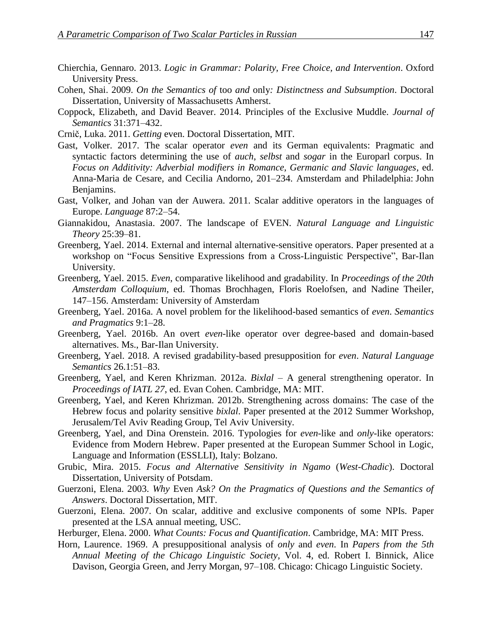- Chierchia, Gennaro. 2013. *Logic in Grammar: Polarity, Free Choice, and Intervention*. Oxford University Press.
- Cohen, Shai. 2009. *On the Semantics of* too *and* only*: Distinctness and Subsumption*. Doctoral Dissertation, University of Massachusetts Amherst.
- Coppock, Elizabeth, and David Beaver. 2014. Principles of the Exclusive Muddle. *Journal of Semantics* 31:371–432.
- Crnič, Luka. 2011. *Getting* even. Doctoral Dissertation, MIT.
- Gast, Volker. 2017. The scalar operator *even* and its German equivalents: Pragmatic and syntactic factors determining the use of *auch*, *selbst* and *sogar* in the Europarl corpus. In *Focus on Additivity: Adverbial modifiers in Romance, Germanic and Slavic languages*, ed. Anna-Maria de Cesare, and Cecilia Andorno, 201–234. Amsterdam and Philadelphia: John Benjamins.
- Gast, Volker, and Johan van der Auwera. 2011. Scalar additive operators in the languages of Europe. *Language* 87:2–54.
- Giannakidou, Anastasia. 2007. The landscape of EVEN. *Natural Language and Linguistic Theory* 25:39–81.
- Greenberg, Yael. 2014. External and internal alternative-sensitive operators. Paper presented at a workshop on "Focus Sensitive Expressions from a Cross-Linguistic Perspective", Bar-Ilan University.
- Greenberg, Yael. 2015. *Even*, comparative likelihood and gradability. In *Proceedings of the 20th Amsterdam Colloquium*, ed. Thomas Brochhagen, Floris Roelofsen, and Nadine Theiler, 147–156. Amsterdam: University of Amsterdam
- Greenberg, Yael. 2016a. A novel problem for the likelihood-based semantics of *even*. *Semantics and Pragmatics* 9:1–28.
- Greenberg, Yael. 2016b. An overt *even*-like operator over degree-based and domain-based alternatives. Ms., Bar-Ilan University.
- Greenberg, Yael. 2018. A revised gradability-based presupposition for *even*. *Natural Language Semantics* 26.1:51–83.
- Greenberg, Yael, and Keren Khrizman. 2012a. *Bixlal* A general strengthening operator. In *Proceedings of IATL 27*, ed. Evan Cohen. Cambridge, MA: MIT.
- Greenberg, Yael, and Keren Khrizman. 2012b. Strengthening across domains: The case of the Hebrew focus and polarity sensitive *bixlal*. Paper presented at the 2012 Summer Workshop, Jerusalem/Tel Aviv Reading Group, Tel Aviv University.
- Greenberg, Yael, and Dina Orenstein. 2016. Typologies for *even*-like and *only*-like operators: Evidence from Modern Hebrew. Paper presented at the European Summer School in Logic, Language and Information (ESSLLI), Italy: Bolzano.
- Grubic, Mira. 2015. *Focus and Alternative Sensitivity in Ngamo* (*West-Chadic*). Doctoral Dissertation, University of Potsdam.
- Guerzoni, Elena. 2003. *Why* Even *Ask? On the Pragmatics of Questions and the Semantics of Answers*. Doctoral Dissertation, MIT.
- Guerzoni, Elena. 2007. On scalar, additive and exclusive components of some NPIs. Paper presented at the LSA annual meeting, USC.
- Herburger, Elena. 2000. *What Counts: Focus and Quantification*. Cambridge, MA: MIT Press.
- Horn, Laurence. 1969. A presuppositional analysis of *only* and *even*. In *Papers from the 5th Annual Meeting of the Chicago Linguistic Society*, Vol. 4, ed. Robert I. Binnick, Alice Davison, Georgia Green, and Jerry Morgan, 97–108. Chicago: Chicago Linguistic Society.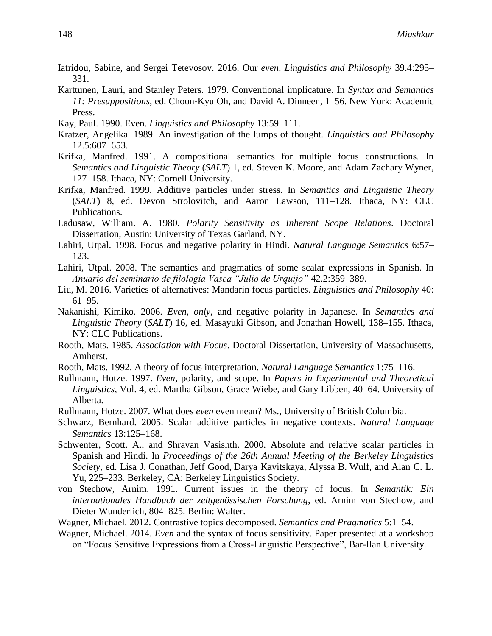- Iatridou, Sabine, and Sergei Tetevosov. 2016. Our *even*. *Linguistics and Philosophy* 39.4:295– 331.
- Karttunen, Lauri, and Stanley Peters. 1979. Conventional implicature. In *Syntax and Semantics 11: Presuppositions*, ed. Choon‐Kyu Oh, and David A. Dinneen, 1–56. New York: Academic Press.
- Kay, Paul. 1990. Even. *Linguistics and Philosophy* 13:59–111.
- Kratzer, Angelika. 1989. An investigation of the lumps of thought. *Linguistics and Philosophy* 12.5:607–653.
- Krifka, Manfred. 1991. A compositional semantics for multiple focus constructions. In *Semantics and Linguistic Theory* (*SALT*) 1, ed. Steven K. Moore, and Adam Zachary Wyner, 127–158. Ithaca, NY: Cornell University.
- Krifka, Manfred. 1999. Additive particles under stress. In *Semantics and Linguistic Theory* (*SALT*) 8, ed. Devon Strolovitch, and Aaron Lawson, 111–128. Ithaca, NY: CLC Publications.
- Ladusaw, William. A. 1980. *Polarity Sensitivity as Inherent Scope Relations*. Doctoral Dissertation, Austin: University of Texas Garland, NY.
- Lahiri, Utpal. 1998. Focus and negative polarity in Hindi. *Natural Language Semantics* 6:57– 123.
- Lahiri, Utpal. 2008. The semantics and pragmatics of some scalar expressions in Spanish. In *Anuario del seminario de filología Vasca "Julio de Urquijo"* 42.2:359–389.
- Liu, M. 2016. Varieties of alternatives: Mandarin focus particles. *Linguistics and Philosophy* 40: 61–95.
- Nakanishi, Kimiko. 2006. *Even*, *only*, and negative polarity in Japanese. In *Semantics and Linguistic Theory* (*SALT*) 16, ed. Masayuki Gibson, and Jonathan Howell, 138–155. Ithaca, NY: CLC Publications.
- Rooth, Mats. 1985. *Association with Focus*. Doctoral Dissertation, University of Massachusetts, Amherst.
- Rooth, Mats. 1992. A theory of focus interpretation. *Natural Language Semantics* 1:75–116.
- Rullmann, Hotze. 1997. *Even*, polarity, and scope. In *Papers in Experimental and Theoretical Linguistics*, Vol. 4, ed. Martha Gibson, Grace Wiebe, and Gary Libben, 40–64. University of Alberta.
- Rullmann, Hotze. 2007. What does *even* even mean? Ms., University of British Columbia.
- Schwarz, Bernhard. 2005. Scalar additive particles in negative contexts. *Natural Language Semantics* 13:125–168.
- Schwenter, Scott. A., and Shravan Vasishth. 2000. Absolute and relative scalar particles in Spanish and Hindi. In *Proceedings of the 26th Annual Meeting of the Berkeley Linguistics Society*, ed. Lisa J. Conathan, Jeff Good, Darya Kavitskaya, Alyssa B. Wulf, and Alan C. L. Yu, 225–233. Berkeley, CA: Berkeley Linguistics Society.
- von Stechow, Arnim. 1991. Current issues in the theory of focus. In *Semantik: Ein internationales Handbuch der zeitgenössischen Forschung*, ed. Arnim von Stechow, and Dieter Wunderlich, 804–825. Berlin: Walter.
- Wagner, Michael. 2012. Contrastive topics decomposed. *Semantics and Pragmatics* 5:1–54.
- Wagner, Michael. 2014. *Even* and the syntax of focus sensitivity. Paper presented at a workshop on "Focus Sensitive Expressions from a Cross-Linguistic Perspective", Bar-Ilan University.